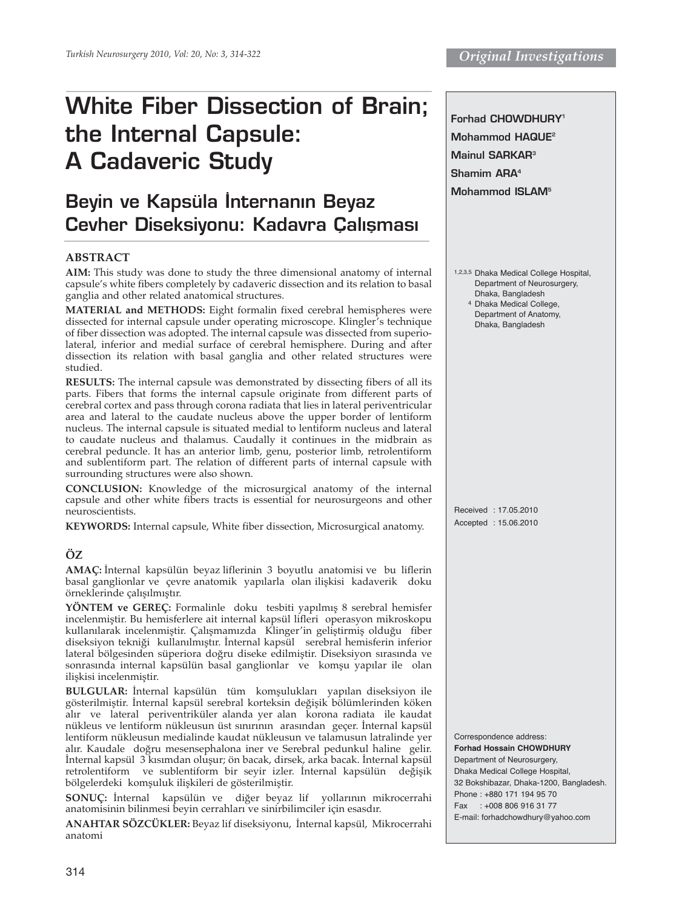# **White Fiber Dissection of Brain; the Internal Capsule: A Cadaveric Study**

# **Beyin ve Kapsüla İnternanın Beyaz Cevher Diseksiyonu: Kadavra Calisması**

#### **ABSTRACT**

**AIM:** This study was done to study the three dimensional anatomy of internal capsule's white fibers completely by cadaveric dissection and its relation to basal ganglia and other related anatomical structures.

**MATERIAL and METHODS:** Eight formalin fixed cerebral hemispheres were dissected for internal capsule under operating microscope. Klingler's technique of fiber dissection was adopted. The internal capsule was dissected from superiolateral, inferior and medial surface of cerebral hemisphere. During and after dissection its relation with basal ganglia and other related structures were studied.

**RESULTS:** The internal capsule was demonstrated by dissecting fibers of all its parts. Fibers that forms the internal capsule originate from different parts of cerebral cortex and pass through corona radiata that lies in lateral periventricular area and lateral to the caudate nucleus above the upper border of lentiform nucleus. The internal capsule is situated medial to lentiform nucleus and lateral to caudate nucleus and thalamus. Caudally it continues in the midbrain as cerebral peduncle. It has an anterior limb, genu, posterior limb, retrolentiform and sublentiform part. The relation of different parts of internal capsule with surrounding structures were also shown.

**CONCLUSION:** Knowledge of the microsurgical anatomy of the internal capsule and other white fibers tracts is essential for neurosurgeons and other neuroscientists.

**KEYWORDS:** Internal capsule, White fiber dissection, Microsurgical anatomy.

#### **ÖZ**

**AMAÇ:** İnternal kapsülün beyaz liflerinin 3 boyutlu anatomisi ve bu liflerin basal ganglionlar ve çevre anatomik yapılarla olan ilişkisi kadaverik doku örneklerinde çalışılmıştır.

**YÖNTEM ve GEREÇ:** Formalinle doku tesbiti yapılmış 8 serebral hemisfer incelenmiştir. Bu hemisferlere ait internal kapsül lifleri operasyon mikroskopu kullanılarak incelenmiştir. Çalışmamızda Klinger'in geliştirmiş olduğu fiber diseksiyon tekniği kullanılmıştır. İnternal kapsül serebral hemisferin inferior lateral bölgesinden süperiora doğru diseke edilmiştir. Diseksiyon sırasında ve sonrasında internal kapsülün basal ganglionlar ve komşu yapılar ile olan ilişkisi incelenmiştir.

**BULGULAR:** İnternal kapsülün tüm komşulukları yapılan diseksiyon ile gösterilmiştir. İnternal kapsül serebral korteksin değişik bölümlerinden köken alır ve lateral periventriküler alanda yer alan korona radiata ile kaudat nükleus ve lentiform nükleusun üst sınırının arasından geçer. İnternal kapsül lentiform nükleusun medialinde kaudat nükleusun ve talamusun latralinde yer alır. Kaudale doğru mesensephalona iner ve Serebral pedunkul haline gelir. İnternal kapsül 3 kısımdan oluşur; ön bacak, dirsek, arka bacak. İnternal kapsül retrolentiform ve sublentiform bir seyir izler. İnternal kapsülün değişik bölgelerdeki komşuluk ilişkileri de gösterilmiştir.

**SONUÇ:** İnternal kapsülün ve diğer beyaz lif yollarının mikrocerrahi anatomisinin bilinmesi beyin cerrahları ve sinirbilimciler için esasdır.

**ANAHTAR SÖZCÜKLER:** Beyaz lif diseksiyonu, İnternal kapsül, Mikrocerrahi anatomi

**Forhad CHOWDHURY1 Mohammod HAQUE2 Mainul SARKAR3 Shamim ARA4 Mohammod ISLAM5**

1,2,3,5 Dhaka Medical College Hospital, Department of Neurosurgery, Dhaka, Bangladesh

4 Dhaka Medical College, Department of Anatomy, Dhaka, Bangladesh

Received : 17.05.2010 Accepted : 15.06.2010

Correspondence address: **Forhad Hossain CHOWDHURY** Department of Neurosurgery, Dhaka Medical College Hospital, 32 Bokshibazar, Dhaka-1200, Bangladesh. Phone : +880 171 194 95 70 Fax : +008 806 916 31 77 E-mail: forhadchowdhury@yahoo.com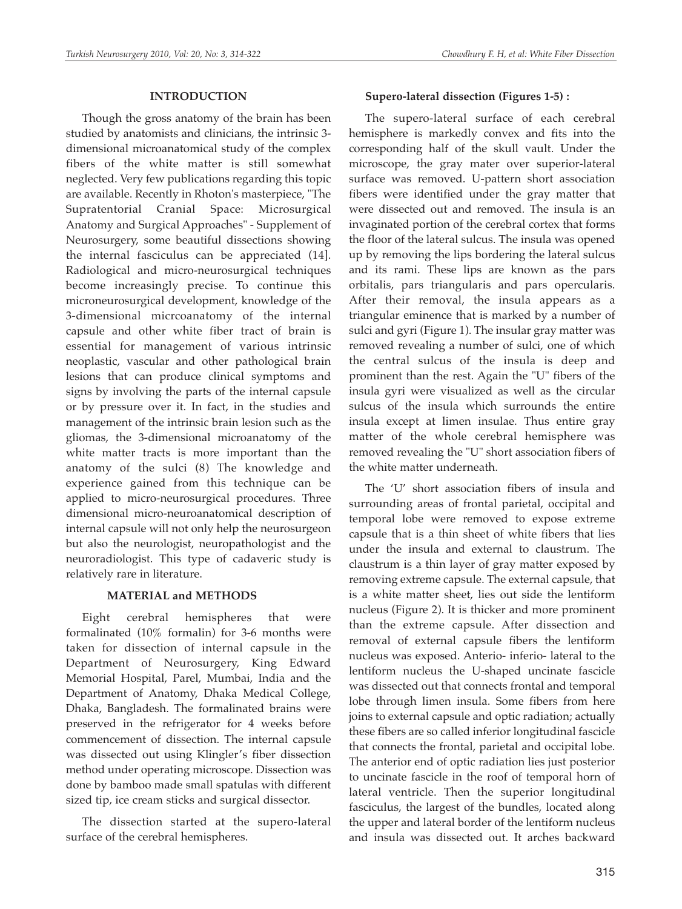#### **INTRODUCTION**

Though the gross anatomy of the brain has been studied by anatomists and clinicians, the intrinsic 3 dimensional microanatomical study of the complex fibers of the white matter is still somewhat neglected. Very few publications regarding this topic are available. Recently in Rhoton's masterpiece, "The Supratentorial Cranial Space: Microsurgical Anatomy and Surgical Approaches" - Supplement of Neurosurgery, some beautiful dissections showing the internal fasciculus can be appreciated (14]. Radiological and micro-neurosurgical techniques become increasingly precise. To continue this microneurosurgical development, knowledge of the 3-dimensional micrcoanatomy of the internal capsule and other white fiber tract of brain is essential for management of various intrinsic neoplastic, vascular and other pathological brain lesions that can produce clinical symptoms and signs by involving the parts of the internal capsule or by pressure over it. In fact, in the studies and management of the intrinsic brain lesion such as the gliomas, the 3-dimensional microanatomy of the white matter tracts is more important than the anatomy of the sulci (8) The knowledge and experience gained from this technique can be applied to micro-neurosurgical procedures. Three dimensional micro-neuroanatomical description of internal capsule will not only help the neurosurgeon but also the neurologist, neuropathologist and the neuroradiologist. This type of cadaveric study is relatively rare in literature.

# **MATERIAL and METHODS**

Eight cerebral hemispheres that were formalinated (10% formalin) for 3-6 months were taken for dissection of internal capsule in the Department of Neurosurgery, King Edward Memorial Hospital, Parel, Mumbai, India and the Department of Anatomy, Dhaka Medical College, Dhaka, Bangladesh. The formalinated brains were preserved in the refrigerator for 4 weeks before commencement of dissection. The internal capsule was dissected out using Klingler's fiber dissection method under operating microscope. Dissection was done by bamboo made small spatulas with different sized tip, ice cream sticks and surgical dissector.

The dissection started at the supero-lateral surface of the cerebral hemispheres.

## **Supero-lateral dissection (Figures 1-5) :**

The supero-lateral surface of each cerebral hemisphere is markedly convex and fits into the corresponding half of the skull vault. Under the microscope, the gray mater over superior-lateral surface was removed. U-pattern short association fibers were identified under the gray matter that were dissected out and removed. The insula is an invaginated portion of the cerebral cortex that forms the floor of the lateral sulcus. The insula was opened up by removing the lips bordering the lateral sulcus and its rami. These lips are known as the pars orbitalis, pars triangularis and pars opercularis. After their removal, the insula appears as a triangular eminence that is marked by a number of sulci and gyri (Figure 1). The insular gray matter was removed revealing a number of sulci, one of which the central sulcus of the insula is deep and prominent than the rest. Again the "U" fibers of the insula gyri were visualized as well as the circular sulcus of the insula which surrounds the entire insula except at limen insulae. Thus entire gray matter of the whole cerebral hemisphere was removed revealing the "U" short association fibers of the white matter underneath.

The 'U' short association fibers of insula and surrounding areas of frontal parietal, occipital and temporal lobe were removed to expose extreme capsule that is a thin sheet of white fibers that lies under the insula and external to claustrum. The claustrum is a thin layer of gray matter exposed by removing extreme capsule. The external capsule, that is a white matter sheet, lies out side the lentiform nucleus (Figure 2). It is thicker and more prominent than the extreme capsule. After dissection and removal of external capsule fibers the lentiform nucleus was exposed. Anterio- inferio- lateral to the lentiform nucleus the U-shaped uncinate fascicle was dissected out that connects frontal and temporal lobe through limen insula. Some fibers from here joins to external capsule and optic radiation; actually these fibers are so called inferior longitudinal fascicle that connects the frontal, parietal and occipital lobe. The anterior end of optic radiation lies just posterior to uncinate fascicle in the roof of temporal horn of lateral ventricle. Then the superior longitudinal fasciculus, the largest of the bundles, located along the upper and lateral border of the lentiform nucleus and insula was dissected out. It arches backward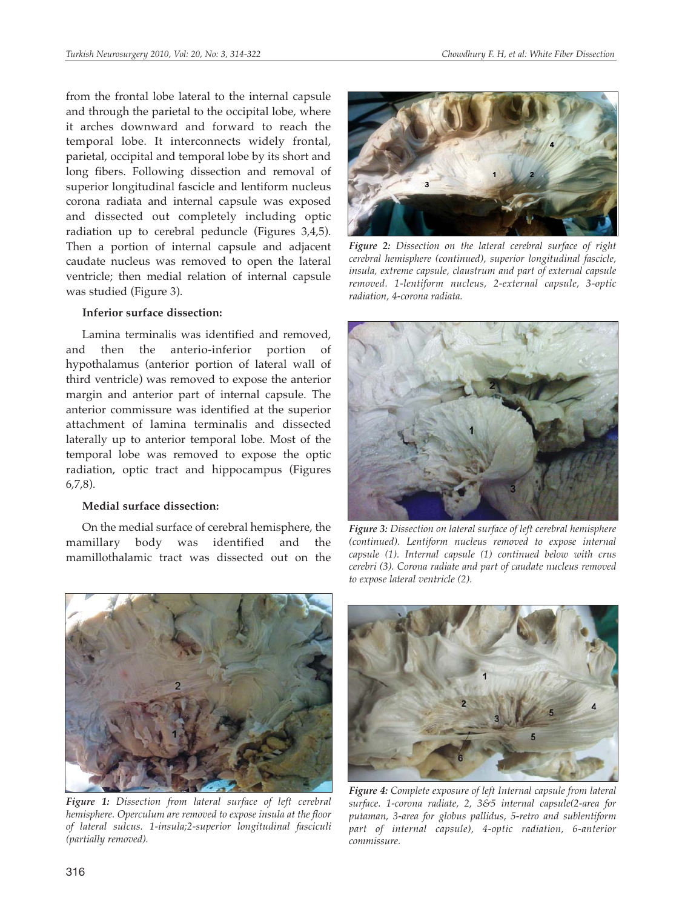from the frontal lobe lateral to the internal capsule and through the parietal to the occipital lobe, where it arches downward and forward to reach the temporal lobe. It interconnects widely frontal, parietal, occipital and temporal lobe by its short and long fibers. Following dissection and removal of superior longitudinal fascicle and lentiform nucleus corona radiata and internal capsule was exposed and dissected out completely including optic radiation up to cerebral peduncle (Figures 3,4,5). Then a portion of internal capsule and adjacent caudate nucleus was removed to open the lateral ventricle; then medial relation of internal capsule was studied (Figure 3).

#### **Inferior surface dissection:**

Lamina terminalis was identified and removed, and then the anterio-inferior portion of hypothalamus (anterior portion of lateral wall of third ventricle) was removed to expose the anterior margin and anterior part of internal capsule. The anterior commissure was identified at the superior attachment of lamina terminalis and dissected laterally up to anterior temporal lobe. Most of the temporal lobe was removed to expose the optic radiation, optic tract and hippocampus (Figures 6,7,8).

# **Medial surface dissection:**

On the medial surface of cerebral hemisphere, the mamillary body was identified and the mamillothalamic tract was dissected out on the



*Figure 2: Dissection on the lateral cerebral surface of right cerebral hemisphere (continued), superior longitudinal fascicle, insula, extreme capsule, claustrum and part of external capsule removed. 1-lentiform nucleus, 2-external capsule, 3-optic radiation, 4-corona radiata.*



*Figure 3: Dissection on lateral surface of left cerebral hemisphere (continued). Lentiform nucleus removed to expose internal capsule (1). Internal capsule (1) continued below with crus cerebri (3). Corona radiate and part of caudate nucleus removed to expose lateral ventricle (2).*



*Figure 1: Dissection from lateral surface of left cerebral hemisphere. Operculum are removed to expose insula at the floor of lateral sulcus. 1-insula;2-superior longitudinal fasciculi (partially removed).*



*Figure 4: Complete exposure of left Internal capsule from lateral surface. 1-corona radiate, 2, 3&5 internal capsule(2-area for putaman, 3-area for globus pallidus, 5-retro and sublentiform part of internal capsule), 4-optic radiation, 6-anterior commissure.*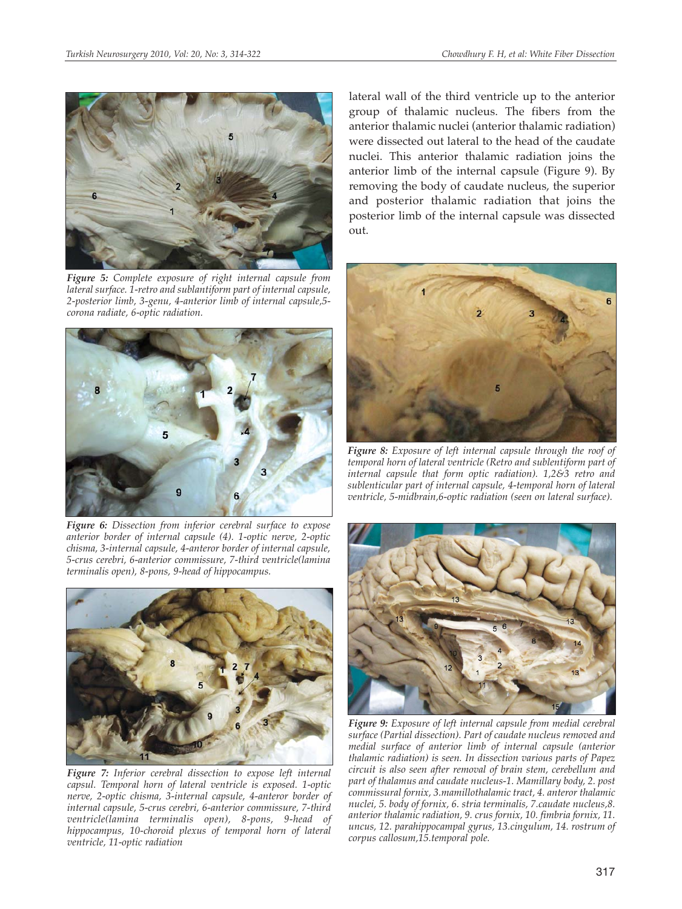

*Figure 5: Complete exposure of right internal capsule from lateral surface. 1-retro and sublantiform part of internal capsule, 2-posterior limb, 3-genu, 4-anterior limb of internal capsule,5 corona radiate, 6-optic radiation.*



*Figure 6: Dissection from inferior cerebral surface to expose anterior border of internal capsule (4). 1-optic nerve, 2-optic chisma, 3-internal capsule, 4-anteror border of internal capsule, 5-crus cerebri, 6-anterior commissure, 7-third ventricle(lamina terminalis open), 8-pons, 9-head of hippocampus.*



*Figure 7: Inferior cerebral dissection to expose left internal capsul. Temporal horn of lateral ventricle is exposed. 1-optic nerve, 2-optic chisma, 3-internal capsule, 4-anteror border of internal capsule, 5-crus cerebri, 6-anterior commissure, 7-third ventricle(lamina terminalis open), 8-pons, 9-head of hippocampus, 10-choroid plexus of temporal horn of lateral ventricle, 11-optic radiation*

lateral wall of the third ventricle up to the anterior group of thalamic nucleus. The fibers from the anterior thalamic nuclei (anterior thalamic radiation) were dissected out lateral to the head of the caudate nuclei. This anterior thalamic radiation joins the anterior limb of the internal capsule (Figure 9). By removing the body of caudate nucleus, the superior and posterior thalamic radiation that joins the posterior limb of the internal capsule was dissected out.



*Figure 8: Exposure of left internal capsule through the roof of temporal horn of lateral ventricle (Retro and sublentiform part of internal capsule that form optic radiation). 1,2&3 retro and sublenticular part of internal capsule, 4-temporal horn of lateral ventricle, 5-midbrain,6-optic radiation (seen on lateral surface).*



*Figure 9: Exposure of left internal capsule from medial cerebral surface (Partial dissection). Part of caudate nucleus removed and medial surface of anterior limb of internal capsule (anterior thalamic radiation) is seen. In dissection various parts of Papez circuit is also seen after removal of brain stem, cerebellum and part of thalamus and caudate nucleus-1. Mamillary body, 2. post commissural fornix, 3.mamillothalamic tract, 4. anteror thalamic nuclei, 5. body of fornix, 6. stria terminalis, 7.caudate nucleus,8. anterior thalamic radiation, 9. crus fornix, 10. fimbria fornix, 11. uncus, 12. parahippocampal gyrus, 13.cingulum, 14. rostrum of corpus callosum,15.temporal pole.*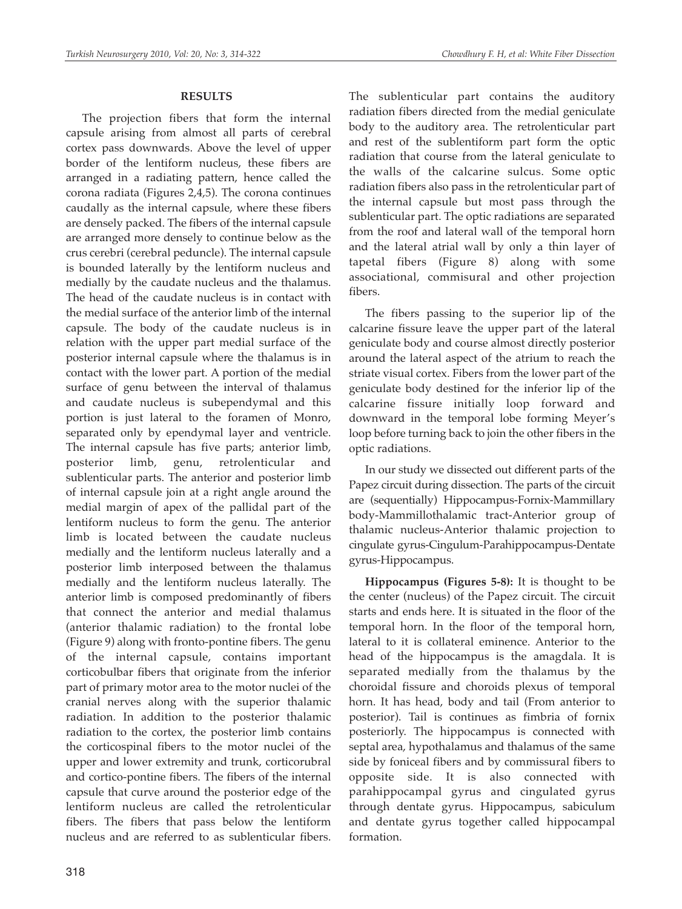#### **RESULTS**

The projection fibers that form the internal capsule arising from almost all parts of cerebral cortex pass downwards. Above the level of upper border of the lentiform nucleus, these fibers are arranged in a radiating pattern, hence called the corona radiata (Figures 2,4,5). The corona continues caudally as the internal capsule, where these fibers are densely packed. The fibers of the internal capsule are arranged more densely to continue below as the crus cerebri (cerebral peduncle). The internal capsule is bounded laterally by the lentiform nucleus and medially by the caudate nucleus and the thalamus. The head of the caudate nucleus is in contact with the medial surface of the anterior limb of the internal capsule. The body of the caudate nucleus is in relation with the upper part medial surface of the posterior internal capsule where the thalamus is in contact with the lower part. A portion of the medial surface of genu between the interval of thalamus and caudate nucleus is subependymal and this portion is just lateral to the foramen of Monro, separated only by ependymal layer and ventricle. The internal capsule has five parts; anterior limb, posterior limb, genu, retrolenticular and sublenticular parts. The anterior and posterior limb of internal capsule join at a right angle around the medial margin of apex of the pallidal part of the lentiform nucleus to form the genu. The anterior limb is located between the caudate nucleus medially and the lentiform nucleus laterally and a posterior limb interposed between the thalamus medially and the lentiform nucleus laterally. The anterior limb is composed predominantly of fibers that connect the anterior and medial thalamus (anterior thalamic radiation) to the frontal lobe (Figure 9) along with fronto-pontine fibers. The genu of the internal capsule, contains important corticobulbar fibers that originate from the inferior part of primary motor area to the motor nuclei of the cranial nerves along with the superior thalamic radiation. In addition to the posterior thalamic radiation to the cortex, the posterior limb contains the corticospinal fibers to the motor nuclei of the upper and lower extremity and trunk, corticorubral and cortico-pontine fibers. The fibers of the internal capsule that curve around the posterior edge of the lentiform nucleus are called the retrolenticular fibers. The fibers that pass below the lentiform nucleus and are referred to as sublenticular fibers.

The sublenticular part contains the auditory radiation fibers directed from the medial geniculate body to the auditory area. The retrolenticular part and rest of the sublentiform part form the optic radiation that course from the lateral geniculate to the walls of the calcarine sulcus. Some optic radiation fibers also pass in the retrolenticular part of the internal capsule but most pass through the sublenticular part. The optic radiations are separated from the roof and lateral wall of the temporal horn and the lateral atrial wall by only a thin layer of tapetal fibers (Figure 8) along with some associational, commisural and other projection fibers.

The fibers passing to the superior lip of the calcarine fissure leave the upper part of the lateral geniculate body and course almost directly posterior around the lateral aspect of the atrium to reach the striate visual cortex. Fibers from the lower part of the geniculate body destined for the inferior lip of the calcarine fissure initially loop forward and downward in the temporal lobe forming Meyer's loop before turning back to join the other fibers in the optic radiations.

In our study we dissected out different parts of the Papez circuit during dissection. The parts of the circuit are (sequentially) Hippocampus-Fornix-Mammillary body-Mammillothalamic tract-Anterior group of thalamic nucleus-Anterior thalamic projection to cingulate gyrus-Cingulum-Parahippocampus-Dentate gyrus-Hippocampus.

**Hippocampus (Figures 5-8):** It is thought to be the center (nucleus) of the Papez circuit. The circuit starts and ends here. It is situated in the floor of the temporal horn. In the floor of the temporal horn, lateral to it is collateral eminence. Anterior to the head of the hippocampus is the amagdala. It is separated medially from the thalamus by the choroidal fissure and choroids plexus of temporal horn. It has head, body and tail (From anterior to posterior). Tail is continues as fimbria of fornix posteriorly. The hippocampus is connected with septal area, hypothalamus and thalamus of the same side by foniceal fibers and by commissural fibers to opposite side. It is also connected with parahippocampal gyrus and cingulated gyrus through dentate gyrus. Hippocampus, sabiculum and dentate gyrus together called hippocampal formation.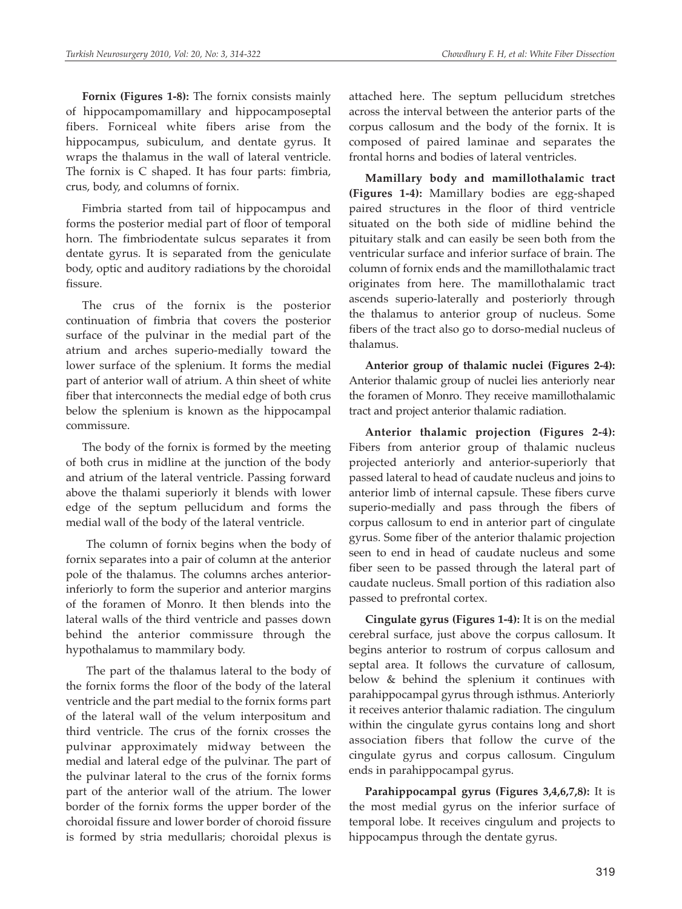**Fornix (Figures 1-8):** The fornix consists mainly of hippocampomamillary and hippocamposeptal fibers. Forniceal white fibers arise from the hippocampus, subiculum, and dentate gyrus. It wraps the thalamus in the wall of lateral ventricle. The fornix is C shaped. It has four parts: fimbria, crus, body, and columns of fornix.

Fimbria started from tail of hippocampus and forms the posterior medial part of floor of temporal horn. The fimbriodentate sulcus separates it from dentate gyrus. It is separated from the geniculate body, optic and auditory radiations by the choroidal fissure.

The crus of the fornix is the posterior continuation of fimbria that covers the posterior surface of the pulvinar in the medial part of the atrium and arches superio-medially toward the lower surface of the splenium. It forms the medial part of anterior wall of atrium. A thin sheet of white fiber that interconnects the medial edge of both crus below the splenium is known as the hippocampal commissure.

The body of the fornix is formed by the meeting of both crus in midline at the junction of the body and atrium of the lateral ventricle. Passing forward above the thalami superiorly it blends with lower edge of the septum pellucidum and forms the medial wall of the body of the lateral ventricle.

The column of fornix begins when the body of fornix separates into a pair of column at the anterior pole of the thalamus. The columns arches anteriorinferiorly to form the superior and anterior margins of the foramen of Monro. It then blends into the lateral walls of the third ventricle and passes down behind the anterior commissure through the hypothalamus to mammilary body.

The part of the thalamus lateral to the body of the fornix forms the floor of the body of the lateral ventricle and the part medial to the fornix forms part of the lateral wall of the velum interpositum and third ventricle. The crus of the fornix crosses the pulvinar approximately midway between the medial and lateral edge of the pulvinar. The part of the pulvinar lateral to the crus of the fornix forms part of the anterior wall of the atrium. The lower border of the fornix forms the upper border of the choroidal fissure and lower border of choroid fissure is formed by stria medullaris; choroidal plexus is

attached here. The septum pellucidum stretches across the interval between the anterior parts of the corpus callosum and the body of the fornix. It is composed of paired laminae and separates the frontal horns and bodies of lateral ventricles.

**Mamillary body and mamillothalamic tract (Figures 1-4):** Mamillary bodies are egg-shaped paired structures in the floor of third ventricle situated on the both side of midline behind the pituitary stalk and can easily be seen both from the ventricular surface and inferior surface of brain. The column of fornix ends and the mamillothalamic tract originates from here. The mamillothalamic tract ascends superio-laterally and posteriorly through the thalamus to anterior group of nucleus. Some fibers of the tract also go to dorso-medial nucleus of thalamus.

**Anterior group of thalamic nuclei (Figures 2-4):** Anterior thalamic group of nuclei lies anteriorly near the foramen of Monro. They receive mamillothalamic tract and project anterior thalamic radiation.

**Anterior thalamic projection (Figures 2-4):** Fibers from anterior group of thalamic nucleus projected anteriorly and anterior-superiorly that passed lateral to head of caudate nucleus and joins to anterior limb of internal capsule. These fibers curve superio-medially and pass through the fibers of corpus callosum to end in anterior part of cingulate gyrus. Some fiber of the anterior thalamic projection seen to end in head of caudate nucleus and some fiber seen to be passed through the lateral part of caudate nucleus. Small portion of this radiation also passed to prefrontal cortex.

**Cingulate gyrus (Figures 1-4):** It is on the medial cerebral surface, just above the corpus callosum. It begins anterior to rostrum of corpus callosum and septal area. It follows the curvature of callosum, below & behind the splenium it continues with parahippocampal gyrus through isthmus. Anteriorly it receives anterior thalamic radiation. The cingulum within the cingulate gyrus contains long and short association fibers that follow the curve of the cingulate gyrus and corpus callosum. Cingulum ends in parahippocampal gyrus.

**Parahippocampal gyrus (Figures 3,4,6,7,8):** It is the most medial gyrus on the inferior surface of temporal lobe. It receives cingulum and projects to hippocampus through the dentate gyrus.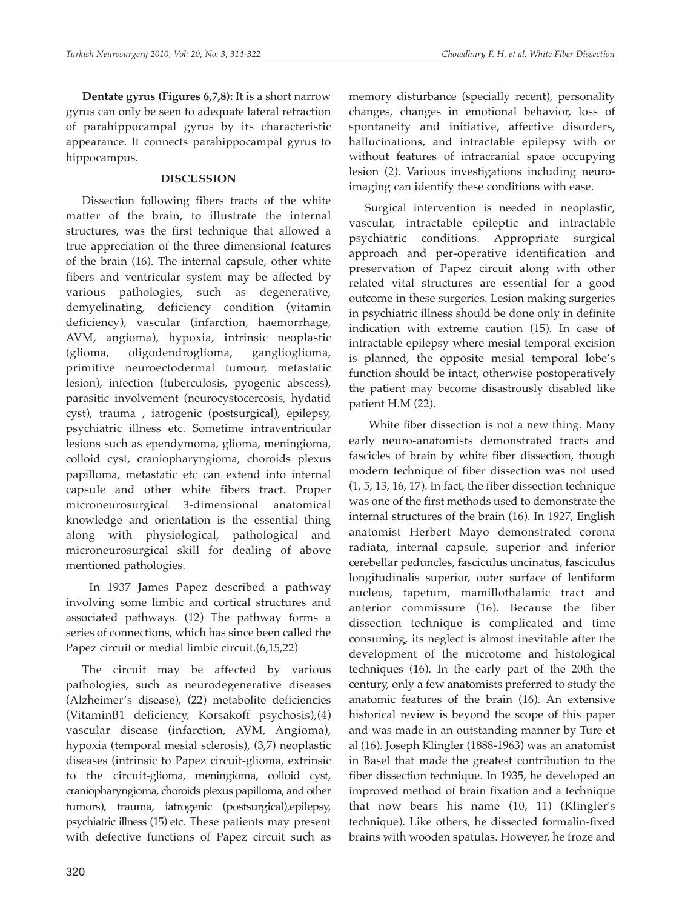**Dentate gyrus (Figures 6,7,8):** It is a short narrow gyrus can only be seen to adequate lateral retraction of parahippocampal gyrus by its characteristic appearance. It connects parahippocampal gyrus to hippocampus.

## **DISCUSSION**

Dissection following fibers tracts of the white matter of the brain, to illustrate the internal structures, was the first technique that allowed a true appreciation of the three dimensional features of the brain (16). The internal capsule, other white fibers and ventricular system may be affected by various pathologies, such as degenerative, demyelinating, deficiency condition (vitamin deficiency), vascular (infarction, haemorrhage, AVM, angioma), hypoxia, intrinsic neoplastic (glioma, oligodendroglioma, ganglioglioma, primitive neuroectodermal tumour, metastatic lesion), infection (tuberculosis, pyogenic abscess), parasitic involvement (neurocystocercosis, hydatid cyst), trauma , iatrogenic (postsurgical), epilepsy, psychiatric illness etc. Sometime intraventricular lesions such as ependymoma, glioma, meningioma, colloid cyst, craniopharyngioma, choroids plexus papilloma, metastatic etc can extend into internal capsule and other white fibers tract. Proper microneurosurgical 3-dimensional anatomical knowledge and orientation is the essential thing along with physiological, pathological and microneurosurgical skill for dealing of above mentioned pathologies.

In 1937 James Papez described a pathway involving some limbic and cortical structures and associated pathways. (12) The pathway forms a series of connections, which has since been called the Papez circuit or medial limbic circuit.(6,15,22)

The circuit may be affected by various pathologies, such as neurodegenerative diseases (Alzheimer's disease), (22) metabolite deficiencies (VitaminB1 deficiency, Korsakoff psychosis),(4) vascular disease (infarction, AVM, Angioma), hypoxia (temporal mesial sclerosis), (3,7) neoplastic diseases (intrinsic to Papez circuit-glioma, extrinsic to the circuit-glioma, meningioma, colloid cyst, craniopharyngioma, choroids plexus papilloma, and other tumors), trauma, iatrogenic (postsurgical),epilepsy, psychiatric illness (15) etc. These patients may present with defective functions of Papez circuit such as

memory disturbance (specially recent), personality changes, changes in emotional behavior, loss of spontaneity and initiative, affective disorders, hallucinations, and intractable epilepsy with or without features of intracranial space occupying lesion (2). Various investigations including neuroimaging can identify these conditions with ease.

Surgical intervention is needed in neoplastic, vascular, intractable epileptic and intractable psychiatric conditions. Appropriate surgical approach and per-operative identification and preservation of Papez circuit along with other related vital structures are essential for a good outcome in these surgeries. Lesion making surgeries in psychiatric illness should be done only in definite indication with extreme caution (15). In case of intractable epilepsy where mesial temporal excision is planned, the opposite mesial temporal lobe's function should be intact, otherwise postoperatively the patient may become disastrously disabled like patient H.M (22).

White fiber dissection is not a new thing. Many early neuro-anatomists demonstrated tracts and fascicles of brain by white fiber dissection, though modern technique of fiber dissection was not used (1, 5, 13, 16, 17). In fact, the fiber dissection technique was one of the first methods used to demonstrate the internal structures of the brain (16). In 1927, English anatomist Herbert Mayo demonstrated corona radiata, internal capsule, superior and inferior cerebellar peduncles, fasciculus uncinatus, fasciculus longitudinalis superior, outer surface of lentiform nucleus, tapetum, mamillothalamic tract and anterior commissure (16). Because the fiber dissection technique is complicated and time consuming, its neglect is almost inevitable after the development of the microtome and histological techniques (16). In the early part of the 20th the century, only a few anatomists preferred to study the anatomic features of the brain (16). An extensive historical review is beyond the scope of this paper and was made in an outstanding manner by Ture et al (16). Joseph Klingler (1888-1963) was an anatomist in Basel that made the greatest contribution to the fiber dissection technique. In 1935, he developed an improved method of brain fixation and a technique that now bears his name (10, 11) (Klingler's technique). Like others, he dissected formalin-fixed brains with wooden spatulas. However, he froze and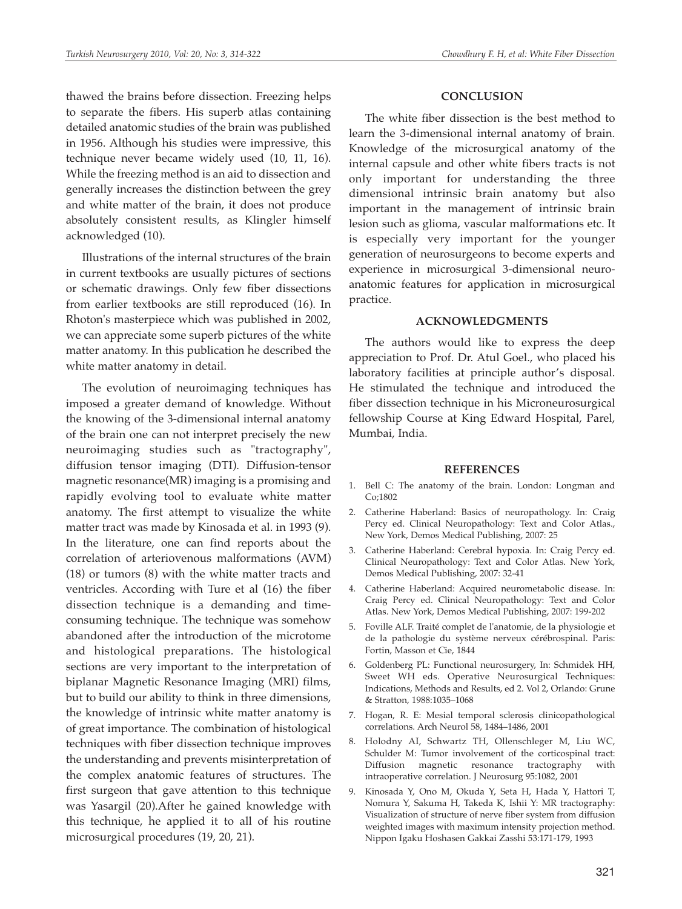thawed the brains before dissection. Freezing helps to separate the fibers. His superb atlas containing detailed anatomic studies of the brain was published in 1956. Although his studies were impressive, this technique never became widely used (10, 11, 16). While the freezing method is an aid to dissection and generally increases the distinction between the grey and white matter of the brain, it does not produce absolutely consistent results, as Klingler himself acknowledged (10).

Illustrations of the internal structures of the brain in current textbooks are usually pictures of sections or schematic drawings. Only few fiber dissections from earlier textbooks are still reproduced (16). In Rhoton's masterpiece which was published in 2002, we can appreciate some superb pictures of the white matter anatomy. In this publication he described the white matter anatomy in detail.

The evolution of neuroimaging techniques has imposed a greater demand of knowledge. Without the knowing of the 3-dimensional internal anatomy of the brain one can not interpret precisely the new neuroimaging studies such as "tractography", diffusion tensor imaging (DTI). Diffusion-tensor magnetic resonance(MR) imaging is a promising and rapidly evolving tool to evaluate white matter anatomy. The first attempt to visualize the white matter tract was made by Kinosada et al. in 1993 (9). In the literature, one can find reports about the correlation of arteriovenous malformations (AVM) (18) or tumors (8) with the white matter tracts and ventricles. According with Ture et al (16) the fiber dissection technique is a demanding and timeconsuming technique. The technique was somehow abandoned after the introduction of the microtome and histological preparations. The histological sections are very important to the interpretation of biplanar Magnetic Resonance Imaging (MRI) films, but to build our ability to think in three dimensions, the knowledge of intrinsic white matter anatomy is of great importance. The combination of histological techniques with fiber dissection technique improves the understanding and prevents misinterpretation of the complex anatomic features of structures. The first surgeon that gave attention to this technique was Yasargil (20).After he gained knowledge with this technique, he applied it to all of his routine microsurgical procedures (19, 20, 21).

#### **CONCLUSION**

The white fiber dissection is the best method to learn the 3-dimensional internal anatomy of brain. Knowledge of the microsurgical anatomy of the internal capsule and other white fibers tracts is not only important for understanding the three dimensional intrinsic brain anatomy but also important in the management of intrinsic brain lesion such as glioma, vascular malformations etc. It is especially very important for the younger generation of neurosurgeons to become experts and experience in microsurgical 3-dimensional neuroanatomic features for application in microsurgical practice.

#### **ACKNOWLEDGMENTS**

The authors would like to express the deep appreciation to Prof. Dr. Atul Goel., who placed his laboratory facilities at principle author's disposal. He stimulated the technique and introduced the fiber dissection technique in his Microneurosurgical fellowship Course at King Edward Hospital, Parel, Mumbai, India.

#### **REFERENCES**

- 1. Bell C: The anatomy of the brain. London: Longman and Co;1802
- 2. Catherine Haberland: Basics of neuropathology. In: Craig Percy ed. Clinical Neuropathology: Text and Color Atlas., New York, Demos Medical Publishing, 2007: 25
- 3. Catherine Haberland: Cerebral hypoxia. In: Craig Percy ed. Clinical Neuropathology: Text and Color Atlas. New York, Demos Medical Publishing, 2007: 32-41
- 4. Catherine Haberland: Acquired neurometabolic disease. In: Craig Percy ed. Clinical Neuropathology: Text and Color Atlas. New York, Demos Medical Publishing, 2007: 199-202
- 5. Foville ALF. Traité complet de l'anatomie, de la physiologie et de la pathologie du système nerveux cérébrospinal. Paris: Fortin, Masson et Cie, 1844
- 6. Goldenberg PL: Functional neurosurgery, In: Schmidek HH, Sweet WH eds. Operative Neurosurgical Techniques: Indications, Methods and Results, ed 2. Vol 2, Orlando: Grune & Stratton, 1988:1035–1068
- 7. Hogan, R. E: Mesial temporal sclerosis clinicopathological correlations. Arch Neurol 58, 1484–1486, 2001
- 8. Holodny AI, Schwartz TH, Ollenschleger M, Liu WC, Schulder M: Tumor involvement of the corticospinal tract: Diffusion magnetic resonance tractography with intraoperative correlation. J Neurosurg 95:1082, 2001
- 9. Kinosada Y, Ono M, Okuda Y, Seta H, Hada Y, Hattori T, Nomura Y, Sakuma H, Takeda K, Ishii Y: MR tractography: Visualization of structure of nerve fiber system from diffusion weighted images with maximum intensity projection method. Nippon Igaku Hoshasen Gakkai Zasshi 53:171-179, 1993